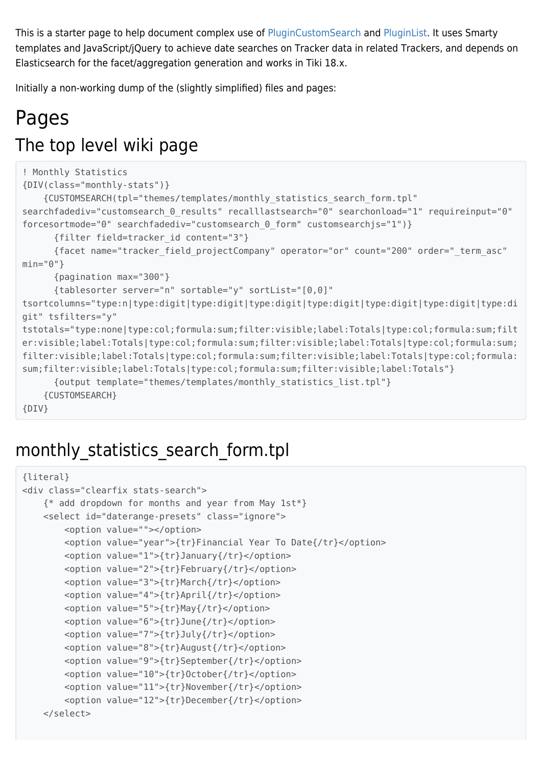This is a starter page to help document complex use of [PluginCustomSearch](https://doc.tiki.org/PluginCustomSearch) and [PluginList](https://doc.tiki.org/PluginList). It uses Smarty templates and JavaScript/jQuery to achieve date searches on Tracker data in related Trackers, and depends on Elasticsearch for the facet/aggregation generation and works in Tiki 18.x.

Initially a non-working dump of the (slightly simplified) files and pages:

# Pages The top level wiki page

```
! Monthly Statistics
{DIV(class="monthly-stats")}
     {CUSTOMSEARCH(tpl="themes/templates/monthly_statistics_search_form.tpl"
searchfadediv="customsearch 0 results" recalllastsearch="0" searchonload="1" requireinput="0"
forcesortmode="0" searchfadediv="customsearch_0_form" customsearchjs="1")}
       {filter field=tracker_id content="3"}
       {facet name="tracker_field_projectCompany" operator="or" count="200" order="_term_asc"
min="0"}
       {pagination max="300"}
       {tablesorter server="n" sortable="y" sortList="[0,0]"
tsortcolumns="type:n|type:digit|type:digit|type:digit|type:digit|type:digit|type:digit|type:di
git" tsfilters="y"
tstotals="type:none|type:col;formula:sum;filter:visible;label:Totals|type:col;formula:sum;filt
er:visible;label:Totals|type:col;formula:sum;filter:visible;label:Totals|type:col;formula:sum;
filter:visible;label:Totals|type:col;formula:sum;filter:visible;label:Totals|type:col;formula:
sum;filter:visible;label:Totals|type:col;formula:sum;filter:visible;label:Totals"}
       {output template="themes/templates/monthly_statistics_list.tpl"}
     {CUSTOMSEARCH}
{DIV}
```
## monthly statistics search form.tpl

```
{literal}
<div class="clearfix stats-search">
     {* add dropdown for months and year from May 1st*}
     <select id="daterange-presets" class="ignore">
         <option value=""></option>
         <option value="year">{tr}Financial Year To Date{/tr}</option>
         <option value="1">{tr}January{/tr}</option>
         <option value="2">{tr}February{/tr}</option>
         <option value="3">{tr}March{/tr}</option>
         <option value="4">{tr}April{/tr}</option>
         <option value="5">{tr}May{/tr}</option>
         <option value="6">{tr}June{/tr}</option>
         <option value="7">{tr}July{/tr}</option>
         <option value="8">{tr}August{/tr}</option>
         <option value="9">{tr}September{/tr}</option>
         <option value="10">{tr}October{/tr}</option>
         <option value="11">{tr}November{/tr}</option>
         <option value="12">{tr}December{/tr}</option>
     </select>
```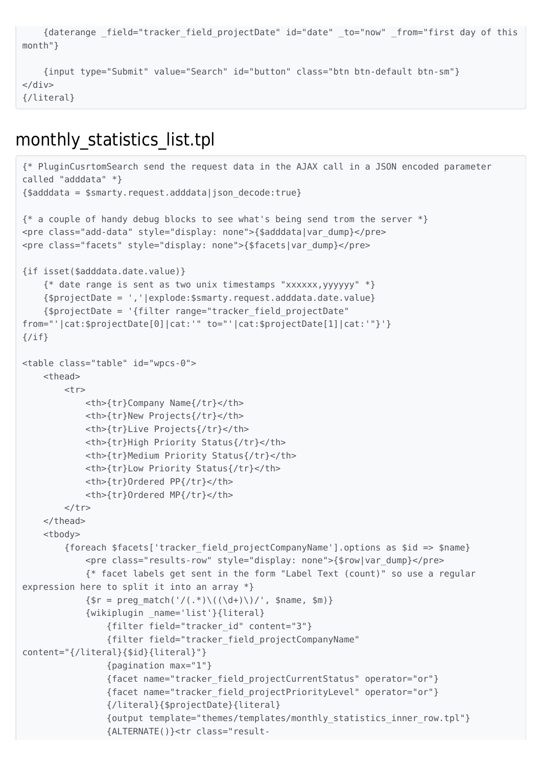```
 {daterange _field="tracker_field_projectDate" id="date" _to="now" _from="first day of this
month"}
     {input type="Submit" value="Search" id="button" class="btn btn-default btn-sm"}
\langlediv>
```
{/literal}

## monthly\_statistics\_list.tpl

```
{* PluginCusrtomSearch send the request data in the AJAX call in a JSON encoded parameter
called "adddata" *}
{$adddata = $smarty.request.adddata|json_decode:true}
{* a couple of handy debug blocks to see what's being send trom the server *}
<pre class="add-data" style="display: none">{$adddata|var_dump}</pre>
<pre class="facets" style="display: none">{$facets|var_dump}</pre>
{if isset($adddata.date.value)}
     {* date range is sent as two unix timestamps "xxxxxx,yyyyyy" *}
     {$projectDate = ','|explode:$smarty.request.adddata.date.value}
     {$projectDate = '{filter range="tracker_field_projectDate"
from="'|cat:$projectDate[0]|cat:'" to="'|cat:$projectDate[1]|cat:'"}'}
\{if}
<table class="table" id="wpcs-0">
     <thead>
        <tr> <th>{tr}Company Name{/tr}</th>
             <th>{tr}New Projects{/tr}</th>
             <th>{tr}Live Projects{/tr}</th>
             <th>{tr}High Priority Status{/tr}</th>
             <th>{tr}Medium Priority Status{/tr}</th>
             <th>{tr}Low Priority Status{/tr}</th>
             <th>{tr}Ordered PP{/tr}</th>
             <th>{tr}Ordered MP{/tr}</th>
        \langle/tr>
     </thead>
     <tbody>
         {foreach $facets['tracker_field_projectCompanyName'].options as $id => $name}
             <pre class="results-row" style="display: none">{$row|var_dump}</pre>
             {* facet labels get sent in the form "Label Text (count)" so use a regular
expression here to split it into an array *}
            \{$r = preg match('/(.*)\((\d+)\)/', $name, $m)}
             {wikiplugin _name='list'}{literal}
                 {filter field="tracker_id" content="3"}
                 {filter field="tracker_field_projectCompanyName"
content="{/literal}{$id}{literal}"}
                 {pagination max="1"}
                 {facet name="tracker_field_projectCurrentStatus" operator="or"}
                 {facet name="tracker_field_projectPriorityLevel" operator="or"}
                 {/literal}{$projectDate}{literal}
                 {output template="themes/templates/monthly_statistics_inner_row.tpl"}
                 {ALTERNATE()}<tr class="result-
```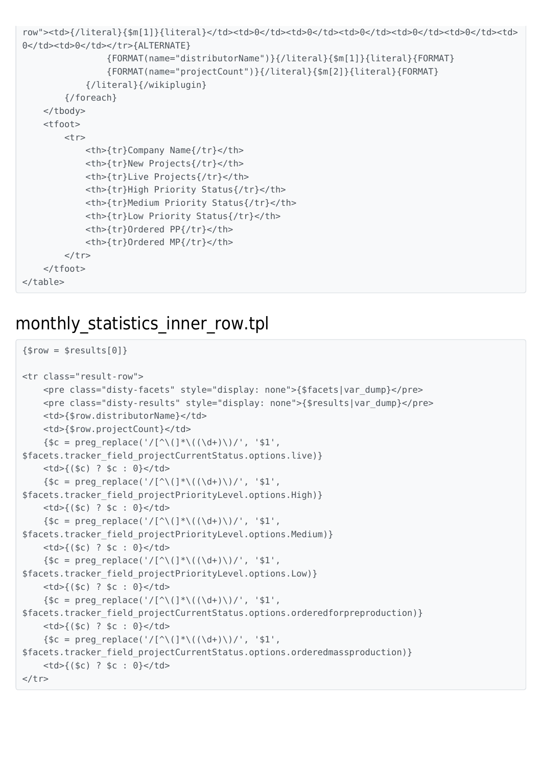```
row"><td>{/literal}{$m[1]}{literal}</td><td>0</td><td>0</td><td>0</td><td>0</td><td>0</td><td>
0</td><td>0</td></tr>{ALTERNATE}
                 {FORMAT(name="distributorName")}{/literal}{$m[1]}{literal}{FORMAT}
                 {FORMAT(name="projectCount")}{/literal}{$m[2]}{literal}{FORMAT}
             {/literal}{/wikiplugin}
         {/foreach}
     </tbody>
     <tfoot>
        <tr> <th>{tr}Company Name{/tr}</th>
             <th>{tr}New Projects{/tr}</th>
             <th>{tr}Live Projects{/tr}</th>
             <th>{tr}High Priority Status{/tr}</th>
             <th>{tr}Medium Priority Status{/tr}</th>
             <th>{tr}Low Priority Status{/tr}</th>
             <th>{tr}Ordered PP{/tr}</th>
             <th>{tr}Ordered MP{/tr}</th>
        \langle/tr>
     </tfoot>
</table>
```
#### monthly statistics inner row.tpl

```
{srow = sresults[0]}<tr class="result-row">
     <pre class="disty-facets" style="display: none">{$facets|var_dump}</pre>
     <pre class="disty-results" style="display: none">{$results|var_dump}</pre>
     <td>{$row.distributorName}</td>
     <td>{$row.projectCount}</td>
    {\$c = preg\_replace('}/[{^{\wedge}((\d+))}/', '$1',$facets.tracker_field_projectCurrentStatus.options.live)}
    <td>{($c) ? $c : 0}</td>
    {\$c = preg replace('/[^\\(]\*\\((\d+))')', '$1',$facets.tracker_field_projectPriorityLevel.options.High)}
     <td>{($c) ? $c : 0}</td>
    {\$c = preg replace('/[^\\(]\*\\((\d+))')', '$1',$facets.tracker_field_projectPriorityLevel.options.Medium)}
     <td>{($c) ? $c : 0}</td>
    \{$c = preq replace('/[^\(]*\((\d+)\)/', '$1',
$facets.tracker_field_projectPriorityLevel.options.Low)}
    <td>{($c) ? $c : 0}</td>
    {\$c = preg replace('/[^{\wedge}((\d+)))/', '$1',$facets.tracker_field_projectCurrentStatus.options.orderedforpreproduction)}
    <td>{($c) ? $c : 0}</td>
    {\$c = preg replace('/[^{\wedge}\(]\ast\((\d+)\))'/', '$1',$facets.tracker_field_projectCurrentStatus.options.orderedmassproduction)}
     <td>{($c) ? $c : 0}</td>
\langletr>
```